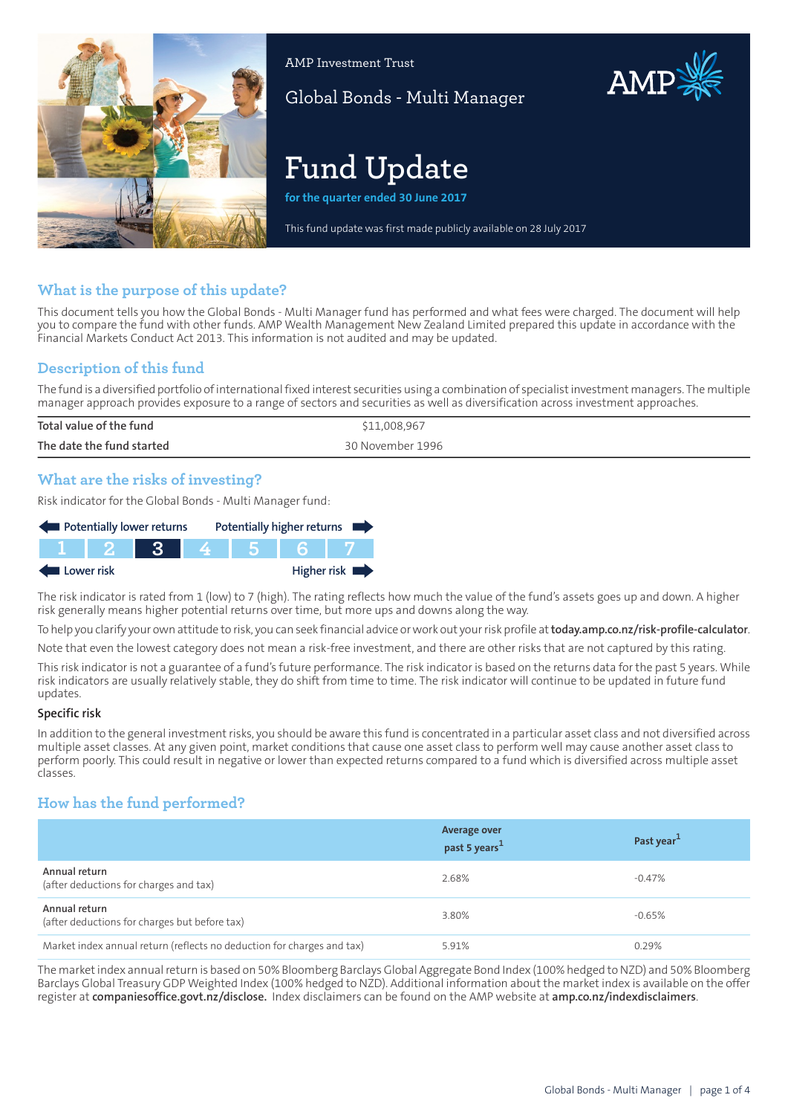

AMP Investment Trust

Global Bonds - Multi Manager

# **Fund Update**

**for the quarter ended 30 June 2017**

This fund update was first made publicly available on 28 July 2017

# **What is the purpose of this update?**

This document tells you how the Global Bonds - Multi Manager fund has performed and what fees were charged. The document will help you to compare the fund with other funds. AMP Wealth Management New Zealand Limited prepared this update in accordance with the Financial Markets Conduct Act 2013. This information is not audited and may be updated.

# **Description of this fund**

The fund is a diversified portfolio ofinternationalfixed interest securities using a combination of specialistinvestment managers. The multiple manager approach provides exposure to a range of sectors and securities as well as diversification across investment approaches.

| Total value of the fund   | \$11,008,967     |
|---------------------------|------------------|
| The date the fund started | 30 November 1996 |
|                           |                  |

# **What are the risks of investing?**

Risk indicator for the Global Bonds - Multi Manager fund:

| Potentially lower returns |        |       | Potentially higher returns |       |  |             |
|---------------------------|--------|-------|----------------------------|-------|--|-------------|
|                           | TT 2 1 | - 3 - |                            | 4 5 6 |  |             |
| Lower risk                |        |       |                            |       |  | Higher risk |

The risk indicator is rated from 1 (low) to 7 (high). The rating reflects how much the value of the fund's assets goes up and down. A higher risk generally means higher potential returns over time, but more ups and downs along the way.

To help you clarify your own attitude to risk, you can seek financial advice orwork out yourrisk profile at**[today.amp.co.nz/risk-profile-calculator](http://today.amp.co.nz/risk-profile-calculator)**.

Note that even the lowest category does not mean a risk-free investment, and there are other risks that are not captured by this rating.

This risk indicator is not a guarantee of a fund's future performance. The risk indicator is based on the returns data for the past 5 years. While risk indicators are usually relatively stable, they do shift from time to time. The risk indicator will continue to be updated in future fund updates.

### **Specific risk**

In addition to the general investmentrisks, you should be aware this fund is concentrated in a particular asset class and not diversified across multiple asset classes. At any given point, market conditions that cause one asset class to perform well may cause another asset class to perform poorly. This could result in negative or lower than expected returns compared to a fund which is diversified across multiple asset classes.

# **How has the fund performed?**

|                                                                        | <b>Average over</b><br>past 5 years <sup>1</sup> | Past year <sup>1</sup> |
|------------------------------------------------------------------------|--------------------------------------------------|------------------------|
| Annual return<br>(after deductions for charges and tax)                | 2.68%                                            | -0.47%                 |
| Annual return<br>(after deductions for charges but before tax)         | 3.80%                                            | $-0.65\%$              |
| Market index annual return (reflects no deduction for charges and tax) | 5.91%                                            | 0.29%                  |

The market index annual return is based on 50% Bloomberg Barclays Global Aggregate Bond Index (100% hedged to NZD) and 50% Bloomberg Barclays Global Treasury GDP Weighted Index (100% hedged to NZD). Additional information about the market index is available on the offer register at **[companiesoffice.govt.nz/disclose.](http://companiesoffice.govt.nz/disclose)** Index disclaimers can be found on the AMP website at **[amp.co.nz/indexdisclaimers](http://amp.co.nz/indexdisclaimers)**.

AMP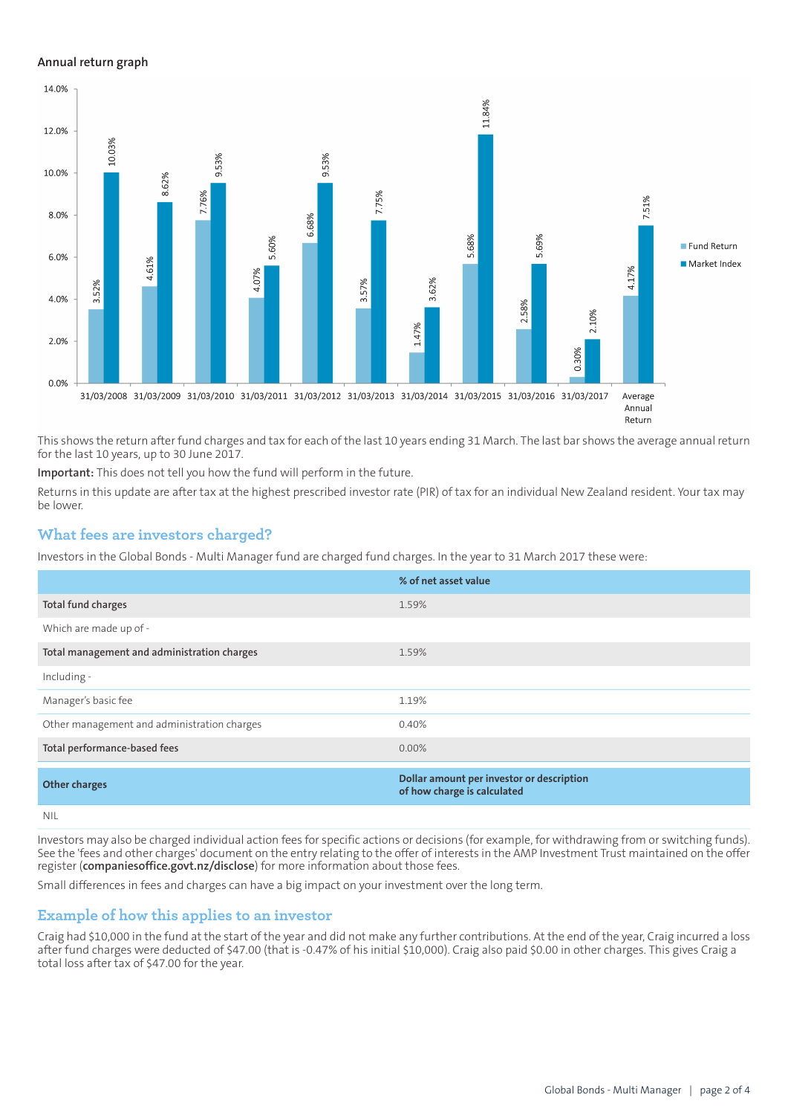#### **Annual return graph**



This shows the return after fund charges and tax for each of the last 10 years ending 31 March. The last bar shows the average annual return for the last 10 years, up to 30 June 2017.

**Important:** This does not tell you how the fund will perform in the future.

Returns in this update are after tax at the highest prescribed investor rate (PIR) of tax for an individual New Zealand resident. Your tax may be lower.

### **What fees are investors charged?**

Investors in the Global Bonds - Multi Manager fund are charged fund charges. In the year to 31 March 2017 these were:

|                                             | % of net asset value                                                     |
|---------------------------------------------|--------------------------------------------------------------------------|
| Total fund charges                          | 1.59%                                                                    |
| Which are made up of -                      |                                                                          |
| Total management and administration charges | 1.59%                                                                    |
| Including -                                 |                                                                          |
| Manager's basic fee                         | 1.19%                                                                    |
| Other management and administration charges | 0.40%                                                                    |
| Total performance-based fees                | $0.00\%$                                                                 |
| <b>Other charges</b>                        | Dollar amount per investor or description<br>of how charge is calculated |
| nil                                         |                                                                          |

Investors may also be charged individual action fees for specific actions or decisions (for example, for withdrawing from or switching funds). See the 'fees and other charges' document on the entry relating to the offer of interests in the AMP Investment Trust maintained on the offer register (**[companiesoffice.govt.nz/disclose](http://companiesoffice.govt.nz/disclose)**) for more information about those fees.

Small differences in fees and charges can have a big impact on your investment over the long term.

### **Example of how this applies to an investor**

Craig had \$10,000 in the fund at the start of the year and did not make any further contributions. At the end of the year, Craig incurred a loss after fund charges were deducted of \$47.00 (that is -0.47% of his initial \$10,000). Craig also paid \$0.00 in other charges. This gives Craig a total loss after tax of \$47.00 for the year.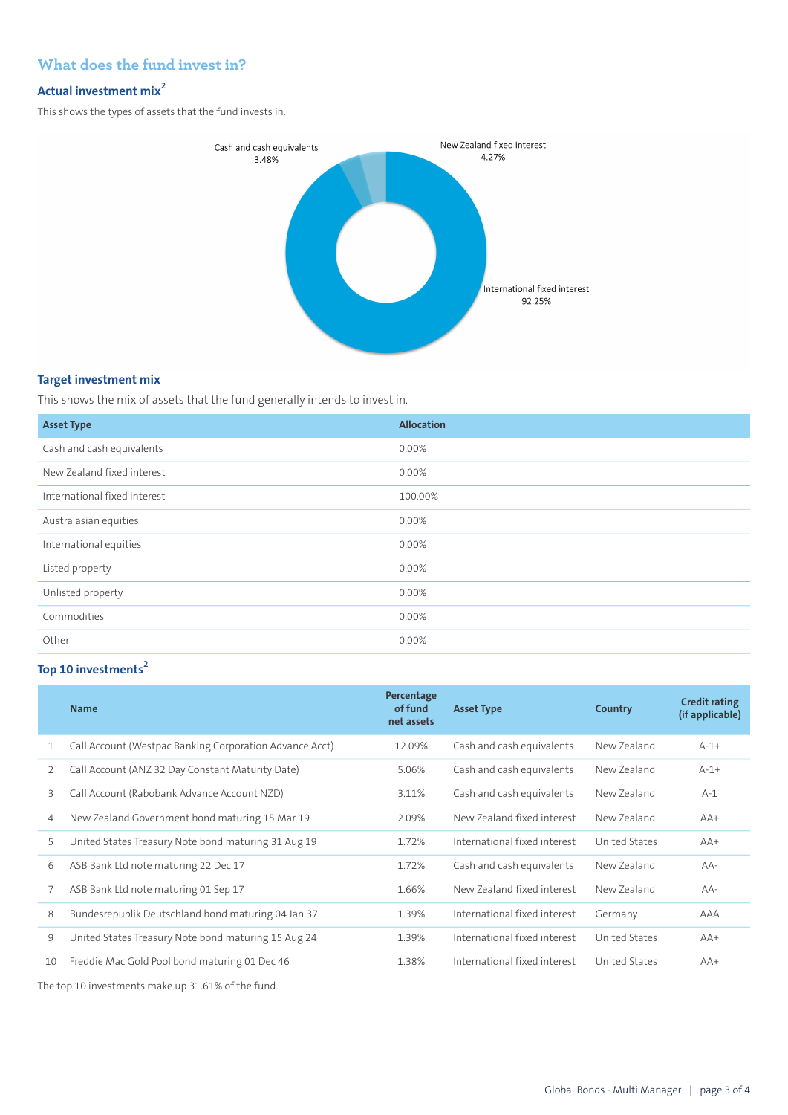# **What does the fund invest in?**

# **Actual investment mix<sup>2</sup>**

This shows the types of assets that the fund invests in.



## **Target investment mix**

This shows the mix of assets that the fund generally intends to invest in.

| <b>Asset Type</b>            | <b>Allocation</b> |
|------------------------------|-------------------|
| Cash and cash equivalents    | 0.00%             |
| New Zealand fixed interest   | $0.00\%$          |
| International fixed interest | 100.00%           |
| Australasian equities        | 0.00%             |
| International equities       | 0.00%             |
| Listed property              | $0.00\%$          |
| Unlisted property            | 0.00%             |
| Commodities                  | 0.00%             |
| Other                        | 0.00%             |

# **Top 10 investments<sup>2</sup>**

|    | <b>Name</b>                                             | Percentage<br>of fund<br>net assets | <b>Asset Type</b>            | Country              | <b>Credit rating</b><br>(if applicable) |
|----|---------------------------------------------------------|-------------------------------------|------------------------------|----------------------|-----------------------------------------|
| 1  | Call Account (Westpac Banking Corporation Advance Acct) | 12.09%                              | Cash and cash equivalents    | New Zealand          | $A-1+$                                  |
| 2  | Call Account (ANZ 32 Day Constant Maturity Date)        | 5.06%                               | Cash and cash equivalents    | New Zealand          | $A-1+$                                  |
| 3  | Call Account (Rabobank Advance Account NZD)             | 3.11%                               | Cash and cash equivalents    | New Zealand          | $A-1$                                   |
| 4  | New Zealand Government bond maturing 15 Mar 19          | 2.09%                               | New Zealand fixed interest   | New Zealand          | $AA+$                                   |
| 5  | United States Treasury Note bond maturing 31 Aug 19     | 1.72%                               | International fixed interest | <b>United States</b> | $AA+$                                   |
| 6  | ASB Bank Ltd note maturing 22 Dec 17                    | 1.72%                               | Cash and cash equivalents    | New Zealand          | $AA-$                                   |
| 7  | ASB Bank Ltd note maturing 01 Sep 17                    | 1.66%                               | New Zealand fixed interest   | New Zealand          | $AA-$                                   |
| 8  | Bundesrepublik Deutschland bond maturing 04 Jan 37      | 1.39%                               | International fixed interest | Germany              | AAA                                     |
| 9  | United States Treasury Note bond maturing 15 Aug 24     | 1.39%                               | International fixed interest | United States        | $AA+$                                   |
| 10 | Freddie Mac Gold Pool bond maturing 01 Dec 46           | 1.38%                               | International fixed interest | United States        | $AA+$                                   |

The top 10 investments make up 31.61% of the fund.